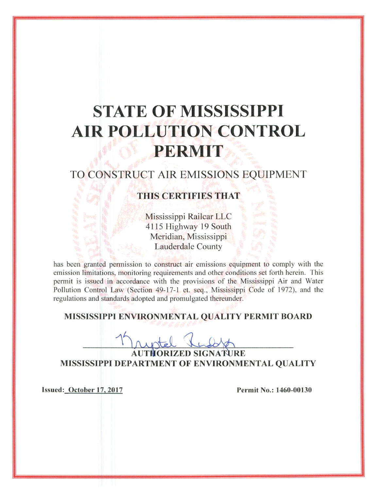# **STATE OF MISSISSIPPI AIR POLLUTION CONTROL** PERMIT

### TO CONSTRUCT AIR EMISSIONS EQUIPMENT

### **THIS CERTIFIES THAT**

Mississippi Railcar LLC 4115 Highway 19 South Meridian, Mississippi **Lauderdale County** 

has been granted permission to construct air emissions equipment to comply with the emission limitations, monitoring requirements and other conditions set forth herein. This permit is issued in accordance with the provisions of the Mississippi Air and Water Pollution Control Law (Section 49-17-1 et. seq., Mississippi Code of 1972), and the regulations and standards adopted and promulgated thereunder.

#### MISSISSIPPI ENVIRONMENTAL QUALITY PERMIT BOARD

**ORIZED SIGNATURE** MISSISSIPPI DEPARTMENT OF ENVIRONMENTAL QUALITY

Issued: October 17, 2017

Permit No.: 1460-00130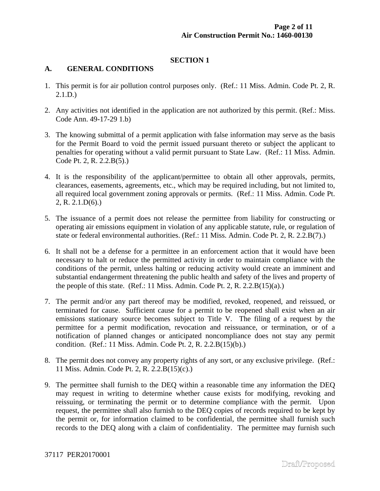#### **SECTION 1**

#### **A. GENERAL CONDITIONS**

- 1. This permit is for air pollution control purposes only. (Ref.: 11 Miss. Admin. Code Pt. 2, R. 2.1.D.)
- 2. Any activities not identified in the application are not authorized by this permit. (Ref.: Miss. Code Ann. 49-17-29 1.b)
- 3. The knowing submittal of a permit application with false information may serve as the basis for the Permit Board to void the permit issued pursuant thereto or subject the applicant to penalties for operating without a valid permit pursuant to State Law. (Ref.: 11 Miss. Admin. Code Pt. 2, R. 2.2.B(5).)
- 4. It is the responsibility of the applicant/permittee to obtain all other approvals, permits, clearances, easements, agreements, etc., which may be required including, but not limited to, all required local government zoning approvals or permits. (Ref.: 11 Miss. Admin. Code Pt. 2, R. 2.1.D(6).)
- 5. The issuance of a permit does not release the permittee from liability for constructing or operating air emissions equipment in violation of any applicable statute, rule, or regulation of state or federal environmental authorities. (Ref.: 11 Miss. Admin. Code Pt. 2, R. 2.2.B(7).)
- 6. It shall not be a defense for a permittee in an enforcement action that it would have been necessary to halt or reduce the permitted activity in order to maintain compliance with the conditions of the permit, unless halting or reducing activity would create an imminent and substantial endangerment threatening the public health and safety of the lives and property of the people of this state. (Ref.: 11 Miss. Admin. Code Pt. 2, R. 2.2. $B(15)(a)$ .)
- 7. The permit and/or any part thereof may be modified, revoked, reopened, and reissued, or terminated for cause. Sufficient cause for a permit to be reopened shall exist when an air emissions stationary source becomes subject to Title V. The filing of a request by the permittee for a permit modification, revocation and reissuance, or termination, or of a notification of planned changes or anticipated noncompliance does not stay any permit condition. (Ref.: 11 Miss. Admin. Code Pt. 2, R. 2.2.B(15)(b).)
- 8. The permit does not convey any property rights of any sort, or any exclusive privilege. (Ref.: 11 Miss. Admin. Code Pt. 2, R. 2.2.B(15)(c).)
- 9. The permittee shall furnish to the DEQ within a reasonable time any information the DEQ may request in writing to determine whether cause exists for modifying, revoking and reissuing, or terminating the permit or to determine compliance with the permit. Upon request, the permittee shall also furnish to the DEQ copies of records required to be kept by the permit or, for information claimed to be confidential, the permittee shall furnish such records to the DEQ along with a claim of confidentiality. The permittee may furnish such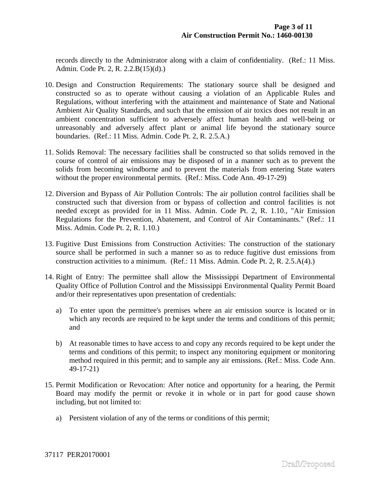records directly to the Administrator along with a claim of confidentiality. (Ref.: 11 Miss. Admin. Code Pt. 2, R. 2.2.B(15)(d).)

- 10. Design and Construction Requirements: The stationary source shall be designed and constructed so as to operate without causing a violation of an Applicable Rules and Regulations, without interfering with the attainment and maintenance of State and National Ambient Air Quality Standards, and such that the emission of air toxics does not result in an ambient concentration sufficient to adversely affect human health and well-being or unreasonably and adversely affect plant or animal life beyond the stationary source boundaries. (Ref.: 11 Miss. Admin. Code Pt. 2, R. 2.5.A.)
- 11. Solids Removal: The necessary facilities shall be constructed so that solids removed in the course of control of air emissions may be disposed of in a manner such as to prevent the solids from becoming windborne and to prevent the materials from entering State waters without the proper environmental permits. (Ref.: Miss. Code Ann. 49-17-29)
- 12. Diversion and Bypass of Air Pollution Controls: The air pollution control facilities shall be constructed such that diversion from or bypass of collection and control facilities is not needed except as provided for in 11 Miss. Admin. Code Pt. 2, R. 1.10., "Air Emission Regulations for the Prevention, Abatement, and Control of Air Contaminants." (Ref.: 11 Miss. Admin. Code Pt. 2, R. 1.10.)
- 13. Fugitive Dust Emissions from Construction Activities: The construction of the stationary source shall be performed in such a manner so as to reduce fugitive dust emissions from construction activities to a minimum. (Ref.: 11 Miss. Admin. Code Pt. 2, R. 2.5.A(4).)
- 14. Right of Entry: The permittee shall allow the Mississippi Department of Environmental Quality Office of Pollution Control and the Mississippi Environmental Quality Permit Board and/or their representatives upon presentation of credentials:
	- a) To enter upon the permittee's premises where an air emission source is located or in which any records are required to be kept under the terms and conditions of this permit; and
	- b) At reasonable times to have access to and copy any records required to be kept under the terms and conditions of this permit; to inspect any monitoring equipment or monitoring method required in this permit; and to sample any air emissions. (Ref.: Miss. Code Ann. 49-17-21)
- 15. Permit Modification or Revocation: After notice and opportunity for a hearing, the Permit Board may modify the permit or revoke it in whole or in part for good cause shown including, but not limited to:
	- a) Persistent violation of any of the terms or conditions of this permit;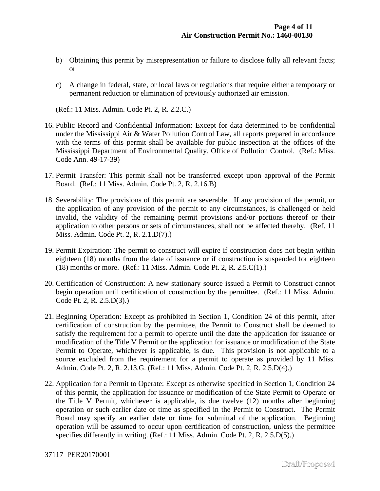- b) Obtaining this permit by misrepresentation or failure to disclose fully all relevant facts; or
- c) A change in federal, state, or local laws or regulations that require either a temporary or permanent reduction or elimination of previously authorized air emission.

(Ref.: 11 Miss. Admin. Code Pt. 2, R. 2.2.C.)

- 16. Public Record and Confidential Information: Except for data determined to be confidential under the Mississippi Air & Water Pollution Control Law, all reports prepared in accordance with the terms of this permit shall be available for public inspection at the offices of the Mississippi Department of Environmental Quality, Office of Pollution Control. (Ref.: Miss. Code Ann. 49-17-39)
- 17. Permit Transfer: This permit shall not be transferred except upon approval of the Permit Board. (Ref.: 11 Miss. Admin. Code Pt. 2, R. 2.16.B)
- 18. Severability: The provisions of this permit are severable. If any provision of the permit, or the application of any provision of the permit to any circumstances, is challenged or held invalid, the validity of the remaining permit provisions and/or portions thereof or their application to other persons or sets of circumstances, shall not be affected thereby. (Ref. 11 Miss. Admin. Code Pt. 2, R. 2.1.D(7).)
- 19. Permit Expiration: The permit to construct will expire if construction does not begin within eighteen (18) months from the date of issuance or if construction is suspended for eighteen (18) months or more. (Ref.: 11 Miss. Admin. Code Pt. 2, R. 2.5.C(1).)
- 20. Certification of Construction: A new stationary source issued a Permit to Construct cannot begin operation until certification of construction by the permittee. (Ref.: 11 Miss. Admin. Code Pt. 2, R. 2.5.D(3).)
- 21. Beginning Operation: Except as prohibited in Section 1, Condition 24 of this permit, after certification of construction by the permittee, the Permit to Construct shall be deemed to satisfy the requirement for a permit to operate until the date the application for issuance or modification of the Title V Permit or the application for issuance or modification of the State Permit to Operate, whichever is applicable, is due. This provision is not applicable to a source excluded from the requirement for a permit to operate as provided by 11 Miss. Admin. Code Pt. 2, R. 2.13.G. (Ref.: 11 Miss. Admin. Code Pt. 2, R. 2.5.D(4).)
- 22. Application for a Permit to Operate: Except as otherwise specified in Section 1, Condition 24 of this permit, the application for issuance or modification of the State Permit to Operate or the Title V Permit, whichever is applicable, is due twelve (12) months after beginning operation or such earlier date or time as specified in the Permit to Construct. The Permit Board may specify an earlier date or time for submittal of the application. Beginning operation will be assumed to occur upon certification of construction, unless the permittee specifies differently in writing. (Ref.: 11 Miss. Admin. Code Pt. 2, R. 2.5.D(5).)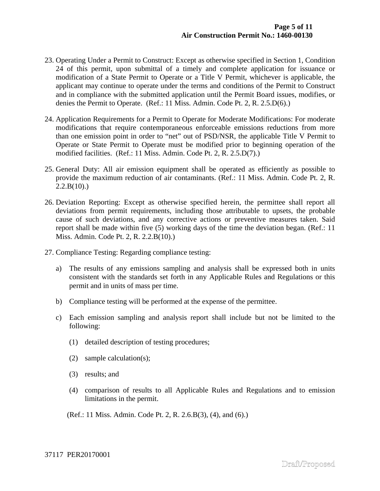- 23. Operating Under a Permit to Construct: Except as otherwise specified in Section 1, Condition 24 of this permit, upon submittal of a timely and complete application for issuance or modification of a State Permit to Operate or a Title V Permit, whichever is applicable, the applicant may continue to operate under the terms and conditions of the Permit to Construct and in compliance with the submitted application until the Permit Board issues, modifies, or denies the Permit to Operate. (Ref.: 11 Miss. Admin. Code Pt. 2, R. 2.5.D(6).)
- 24. Application Requirements for a Permit to Operate for Moderate Modifications: For moderate modifications that require contemporaneous enforceable emissions reductions from more than one emission point in order to "net" out of PSD/NSR, the applicable Title V Permit to Operate or State Permit to Operate must be modified prior to beginning operation of the modified facilities. (Ref.: 11 Miss. Admin. Code Pt. 2, R. 2.5.D(7).)
- 25. General Duty: All air emission equipment shall be operated as efficiently as possible to provide the maximum reduction of air contaminants. (Ref.: 11 Miss. Admin. Code Pt. 2, R.  $2.2.B(10).$
- 26. Deviation Reporting: Except as otherwise specified herein, the permittee shall report all deviations from permit requirements, including those attributable to upsets, the probable cause of such deviations, and any corrective actions or preventive measures taken. Said report shall be made within five (5) working days of the time the deviation began. (Ref.: 11 Miss. Admin. Code Pt. 2, R. 2.2.B(10).)
- 27. Compliance Testing: Regarding compliance testing:
	- a) The results of any emissions sampling and analysis shall be expressed both in units consistent with the standards set forth in any Applicable Rules and Regulations or this permit and in units of mass per time.
	- b) Compliance testing will be performed at the expense of the permittee.
	- c) Each emission sampling and analysis report shall include but not be limited to the following:
		- (1) detailed description of testing procedures;
		- (2) sample calculation(s);
		- (3) results; and
		- (4) comparison of results to all Applicable Rules and Regulations and to emission limitations in the permit.
		- (Ref.: 11 Miss. Admin. Code Pt. 2, R. 2.6.B(3), (4), and (6).)

37117 PER20170001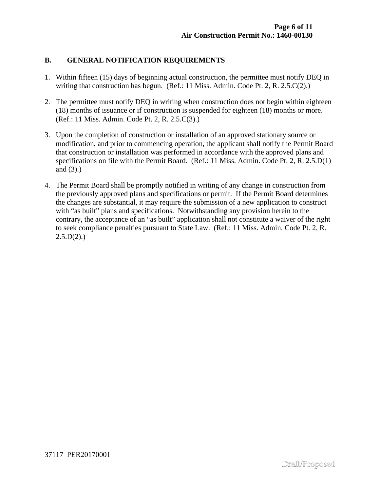#### **B. GENERAL NOTIFICATION REQUIREMENTS**

- 1. Within fifteen (15) days of beginning actual construction, the permittee must notify DEQ in writing that construction has begun. (Ref.: 11 Miss. Admin. Code Pt. 2, R. 2.5.C(2).)
- 2. The permittee must notify DEQ in writing when construction does not begin within eighteen (18) months of issuance or if construction is suspended for eighteen (18) months or more. (Ref.: 11 Miss. Admin. Code Pt. 2, R. 2.5.C(3).)
- 3. Upon the completion of construction or installation of an approved stationary source or modification, and prior to commencing operation, the applicant shall notify the Permit Board that construction or installation was performed in accordance with the approved plans and specifications on file with the Permit Board. (Ref.: 11 Miss. Admin. Code Pt. 2, R. 2.5.D(1) and (3).)
- 4. The Permit Board shall be promptly notified in writing of any change in construction from the previously approved plans and specifications or permit. If the Permit Board determines the changes are substantial, it may require the submission of a new application to construct with "as built" plans and specifications. Notwithstanding any provision herein to the contrary, the acceptance of an "as built" application shall not constitute a waiver of the right to seek compliance penalties pursuant to State Law. (Ref.: 11 Miss. Admin. Code Pt. 2, R.  $2.5.D(2)$ .)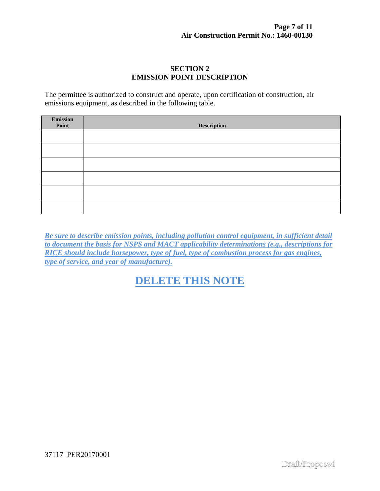#### **SECTION 2 EMISSION POINT DESCRIPTION**

The permittee is authorized to construct and operate, upon certification of construction, air emissions equipment, as described in the following table.

| Emission<br>Point | <b>Description</b> |
|-------------------|--------------------|
|                   |                    |
|                   |                    |
|                   |                    |
|                   |                    |
|                   |                    |
|                   |                    |

*Be sure to describe emission points, including pollution control equipment, in sufficient detail to document the basis for NSPS and MACT applicability determinations (e.g., descriptions for RICE should include horsepower, type of fuel, type of combustion process for gas engines, type of service, and year of manufacture).*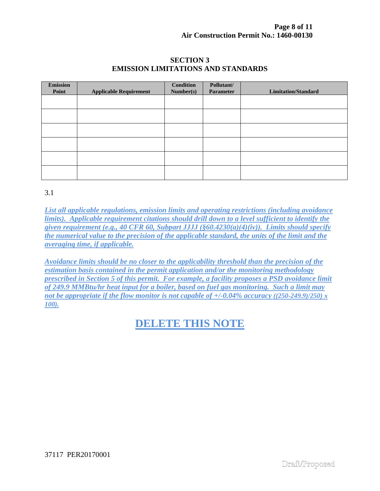#### **SECTION 3 EMISSION LIMITATIONS AND STANDARDS**

| <b>Emission</b><br>Point | <b>Applicable Requirement</b> | <b>Condition</b><br>Number(s) | Pollutant/<br>Parameter | <b>Limitation/Standard</b> |
|--------------------------|-------------------------------|-------------------------------|-------------------------|----------------------------|
|                          |                               |                               |                         |                            |
|                          |                               |                               |                         |                            |
|                          |                               |                               |                         |                            |
|                          |                               |                               |                         |                            |
|                          |                               |                               |                         |                            |
|                          |                               |                               |                         |                            |

3.1

*List all applicable regulations, emission limits and operating restrictions (including avoidance limits). Applicable requirement citations should drill down to a level sufficient to identify the given requirement (e.g., 40 CFR 60, Subpart JJJJ (§60.4230(a)(4)(iv)). Limits should specify the numerical value to the precision of the applicable standard, the units of the limit and the averaging time, if applicable.* 

*Avoidance limits should be no closer to the applicability threshold than the precision of the estimation basis contained in the permit application and/or the monitoring methodology prescribed in Section 5 of this permit. For example, a facility proposes a PSD avoidance limit of 249.9 MMBtu/hr heat input for a boiler, based on fuel gas monitoring. Such a limit may not be appropriate if the flow monitor is not capable of*  $+/-0.04\%$  *accuracy ((250-249.9)/250) x 100).*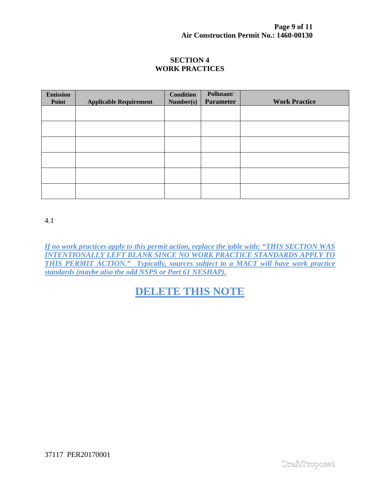#### **SECTION 4 WORK PRACTICES**

| <b>Emission</b><br>Point | <b>Applicable Requirement</b> | <b>Condition</b><br>Number(s) | Pollutant/<br><b>Parameter</b> | <b>Work Practice</b> |
|--------------------------|-------------------------------|-------------------------------|--------------------------------|----------------------|
|                          |                               |                               |                                |                      |
|                          |                               |                               |                                |                      |
|                          |                               |                               |                                |                      |
|                          |                               |                               |                                |                      |
|                          |                               |                               |                                |                      |
|                          |                               |                               |                                |                      |
|                          |                               |                               |                                |                      |

4.1

*If no work practices apply to this permit action, replace the table with: "THIS SECTION WAS INTENTIONALLY LEFT BLANK SINCE NO WORK PRACTICE STANDARDS APPLY TO THIS PERMIT ACTION." Typically, sources subject to a MACT will have work practice standards (maybe also the odd NSPS or Part 61 NESHAP).*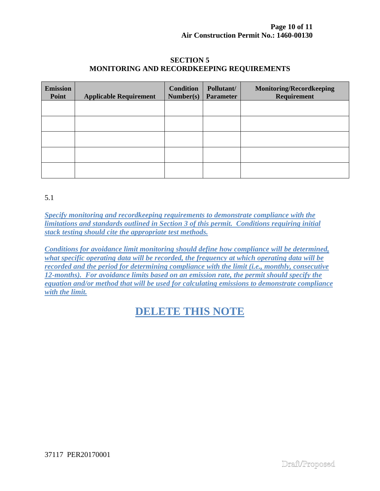#### **SECTION 5 MONITORING AND RECORDKEEPING REQUIREMENTS**

| <b>Emission</b><br>Point | <b>Applicable Requirement</b> | <b>Condition</b><br>Number(s) | Pollutant/<br><b>Parameter</b> | <b>Monitoring/Recordkeeping</b><br>Requirement |
|--------------------------|-------------------------------|-------------------------------|--------------------------------|------------------------------------------------|
|                          |                               |                               |                                |                                                |
|                          |                               |                               |                                |                                                |
|                          |                               |                               |                                |                                                |
|                          |                               |                               |                                |                                                |
|                          |                               |                               |                                |                                                |

5.1

*Specify monitoring and recordkeeping requirements to demonstrate compliance with the limitations and standards outlined in Section 3 of this permit. Conditions requiring initial stack testing should cite the appropriate test methods.* 

*Conditions for avoidance limit monitoring should define how compliance will be determined, what specific operating data will be recorded, the frequency at which operating data will be recorded and the period for determining compliance with the limit (i.e., monthly, consecutive 12-months). For avoidance limits based on an emission rate, the permit should specify the equation and/or method that will be used for calculating emissions to demonstrate compliance with the limit.*